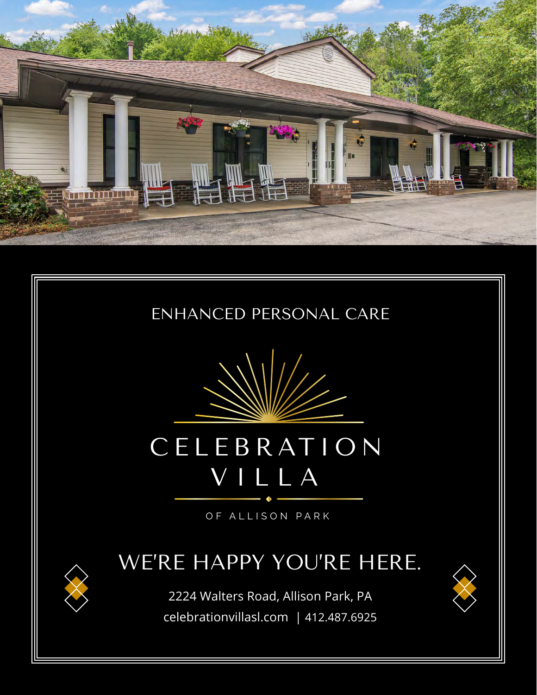





# CELEB RAT ION VILLA

OF ALLISON PARK

### WE'RE HAPPY YOU'RE HERE.

2224 Walters Road, Allison Park, PA celebrationvillasl.com | 412.487.6925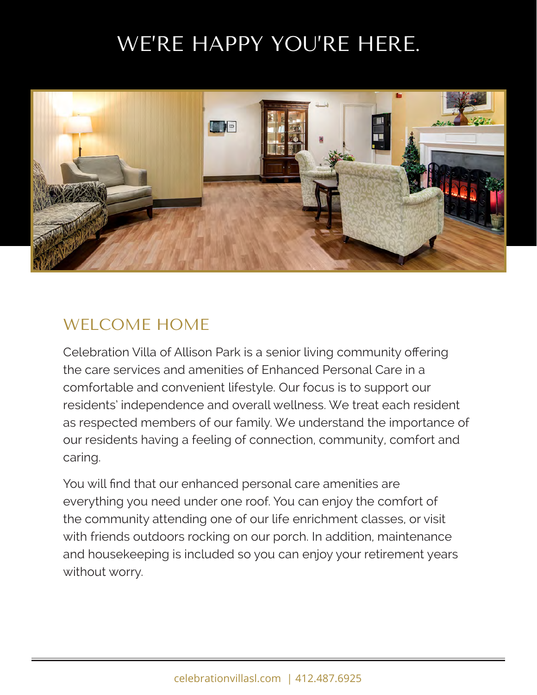## WE'RE HAPPY YOU'RE HERE.



#### WELCOME HOME

Celebration Villa of Allison Park is a senior living community offering the care services and amenities of Enhanced Personal Care in a comfortable and convenient lifestyle. Our focus is to support our residents' independence and overall wellness. We treat each resident as respected members of our family. We understand the importance of our residents having a feeling of connection, community, comfort and caring.

You will find that our enhanced personal care amenities are everything you need under one roof. You can enjoy the comfort of the community attending one of our life enrichment classes, or visit with friends outdoors rocking on our porch. In addition, maintenance and housekeeping is included so you can enjoy your retirement years without worry.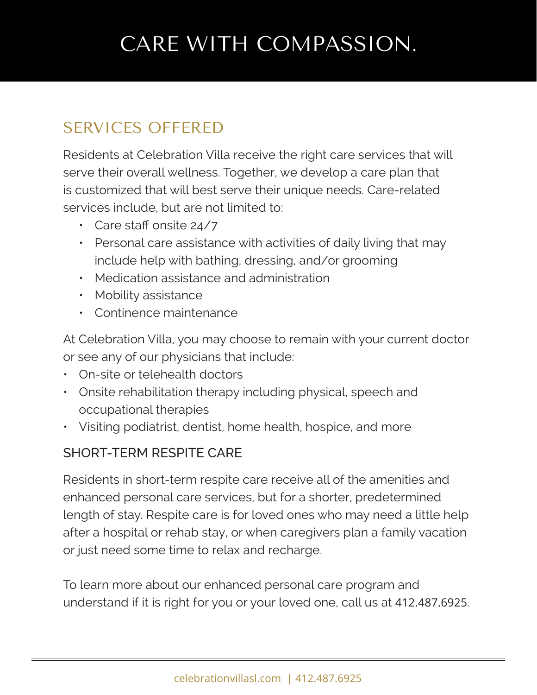## CARE WITH COMPASSION.

### SERVICES OFFERED

Residents at Celebration Villa receive the right care services that will serve their overall wellness. Together, we develop a care plan that is customized that will best serve their unique needs. Care-related services include, but are not limited to:

- Care staff onsite 24/7
- Personal care assistance with activities of daily living that may include help with bathing, dressing, and/or grooming
- Medication assistance and administration
- Mobility assistance
- Continence maintenance

At Celebration Villa, you may choose to remain with your current doctor or see any of our physicians that include:

- On-site or telehealth doctors
- Onsite rehabilitation therapy including physical, speech and occupational therapies
- Visiting podiatrist, dentist, home health, hospice, and more

#### SHORT-TERM RESPITE CARE

Residents in short-term respite care receive all of the amenities and enhanced personal care services, but for a shorter, predetermined length of stay. Respite care is for loved ones who may need a little help after a hospital or rehab stay, or when caregivers plan a family vacation or just need some time to relax and recharge.

To learn more about our enhanced personal care program and understand if it is right for you or your loved one, call us at 412.487.6925.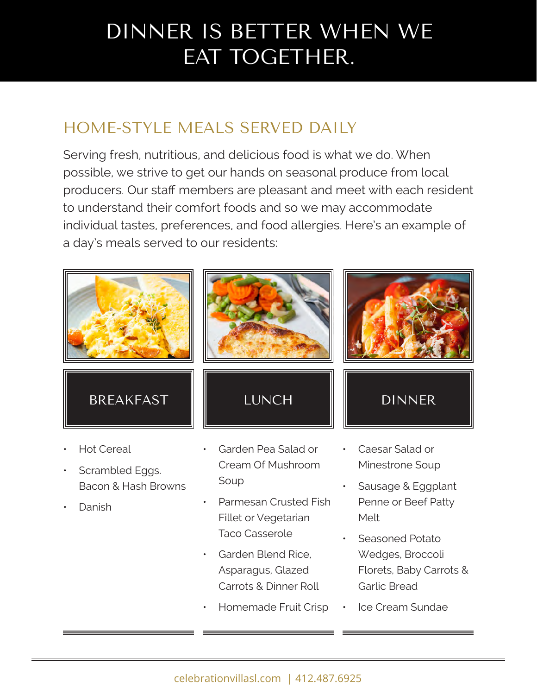## DINNER IS BETTER WHEN WE EAT TOGETHER.

### HOME-STYLE MEALS SERVED DAILY

Serving fresh, nutritious, and delicious food is what we do. When possible, we strive to get our hands on seasonal produce from local producers. Our staff members are pleasant and meet with each resident to understand their comfort foods and so we may accommodate individual tastes, preferences, and food allergies. Here's an example of a day's meals served to our residents:



- Scrambled Eggs. Bacon & Hash Browns
- Danish

Cream Of Mushroom Soup

- Parmesan Crusted Fish Fillet or Vegetarian Taco Casserole
- Garden Blend Rice, Asparagus, Glazed Carrots & Dinner Roll
- Homemade Fruit Crisp
- Minestrone Soup
- Sausage & Eggplant Penne or Beef Patty Melt
- Seasoned Potato Wedges, Broccoli Florets, Baby Carrots & Garlic Bread
- Ice Cream Sundae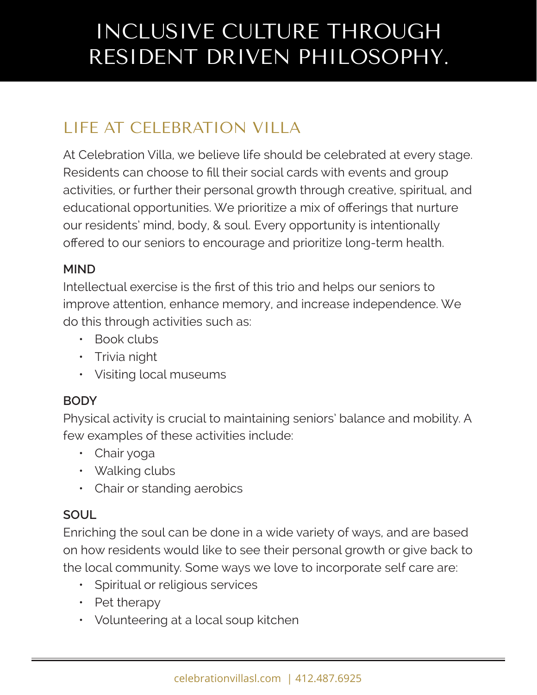## INCLUSIVE CULTURE THROUGH RESIDENT DRIVEN PHILOSOPHY.

### LIFE AT CELEBRATION VILLA

At Celebration Villa, we believe life should be celebrated at every stage. Residents can choose to fill their social cards with events and group activities, or further their personal growth through creative, spiritual, and educational opportunities. We prioritize a mix of offerings that nurture our residents' mind, body, & soul. Every opportunity is intentionally offered to our seniors to encourage and prioritize long-term health.

#### **MIND**

Intellectual exercise is the first of this trio and helps our seniors to improve attention, enhance memory, and increase independence. We do this through activities such as:

- Book clubs
- Trivia night
- Visiting local museums

#### **BODY**

Physical activity is crucial to maintaining seniors' balance and mobility. A few examples of these activities include:

- Chair yoga
- Walking clubs
- Chair or standing aerobics

#### **SOUL**

Enriching the soul can be done in a wide variety of ways, and are based on how residents would like to see their personal growth or give back to the local community. Some ways we love to incorporate self care are:

- Spiritual or religious services
- Pet therapy
- Volunteering at a local soup kitchen